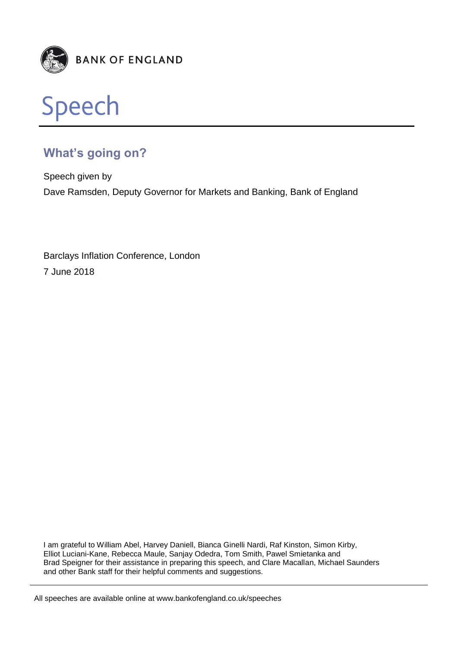



# **What's going on?**

Speech given by Dave Ramsden, Deputy Governor for Markets and Banking, Bank of England

Barclays Inflation Conference, London 7 June 2018

I am grateful to William Abel, Harvey Daniell, Bianca Ginelli Nardi, Raf Kinston, Simon Kirby, Elliot Luciani-Kane, Rebecca Maule, Sanjay Odedra, Tom Smith, Pawel Smietanka and Brad Speigner for their assistance in preparing this speech, and Clare Macallan, Michael Saunders and other Bank staff for their helpful comments and suggestions.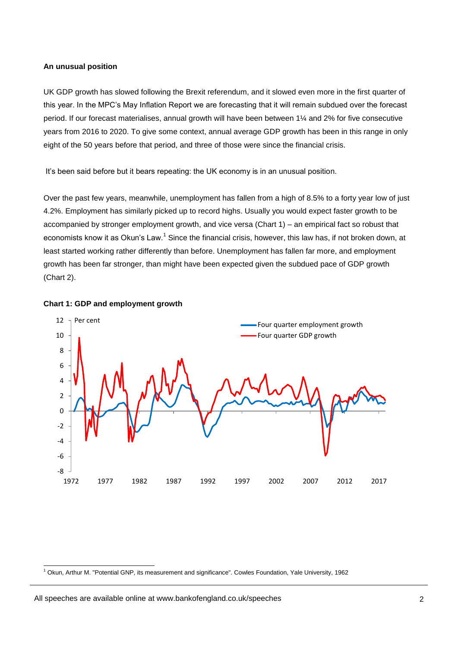## **An unusual position**

UK GDP growth has slowed following the Brexit referendum, and it slowed even more in the first quarter of this year. In the MPC's May Inflation Report we are forecasting that it will remain subdued over the forecast period. If our forecast materialises, annual growth will have been between 1¼ and 2% for five consecutive years from 2016 to 2020. To give some context, annual average GDP growth has been in this range in only eight of the 50 years before that period, and three of those were since the financial crisis.

It's been said before but it bears repeating: the UK economy is in an unusual position.

Over the past few years, meanwhile, unemployment has fallen from a high of 8.5% to a forty year low of just 4.2%. Employment has similarly picked up to record highs. Usually you would expect faster growth to be accompanied by stronger employment growth, and vice versa (Chart 1) – an empirical fact so robust that economists know it as Okun's Law.<sup>1</sup> Since the financial crisis, however, this law has, if not broken down, at least started working rather differently than before. Unemployment has fallen far more, and employment growth has been far stronger, than might have been expected given the subdued pace of GDP growth (Chart 2).



## **Chart 1: GDP and employment growth**

 $1$  Okun, Arthur M. "Potential GNP, its measurement and significance". Cowles Foundation, Yale University, 1962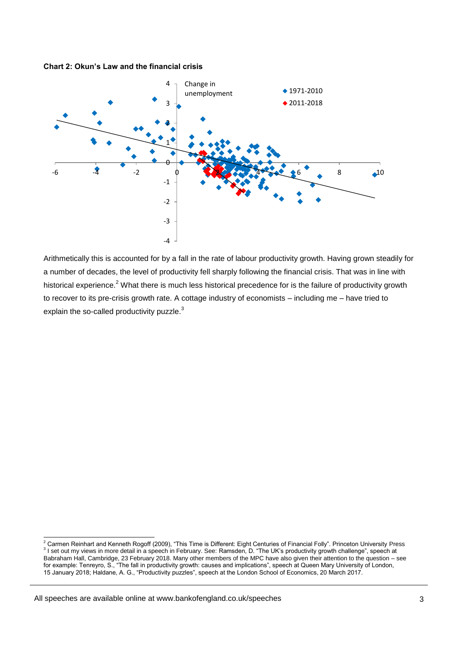**Chart 2: Okun's Law and the financial crisis**



Arithmetically this is accounted for by a fall in the rate of labour productivity growth. Having grown steadily for a number of decades, the level of productivity fell sharply following the financial crisis. That was in line with historical experience.<sup>2</sup> What there is much less historical precedence for is the failure of productivity growth to recover to its pre-crisis growth rate. A cottage industry of economists – including me – have tried to explain the so-called productivity puzzle.<sup>3</sup>

All speeches are available online at www.bankofengland.co.uk/speeches

<sup>&</sup>lt;sup>2</sup> Carmen Reinhart and Kenneth Rogoff (2009), "This Time is Different: Eight Centuries of Financial Folly". Princeton University Press<br><sup>3</sup> I set out my views in more detail in a speech in February. See: Ramsden, D. "The U Babraham Hall, Cambridge, 23 February 2018. Many other members of the MPC have also given their attention to the question – see for example: Tenreyro, S., "The fall in productivity growth: causes and implications", speech at Queen Mary University of London, 15 January 2018; Haldane, A. G., "Productivity puzzles", speech at the London School of Economics, 20 March 2017.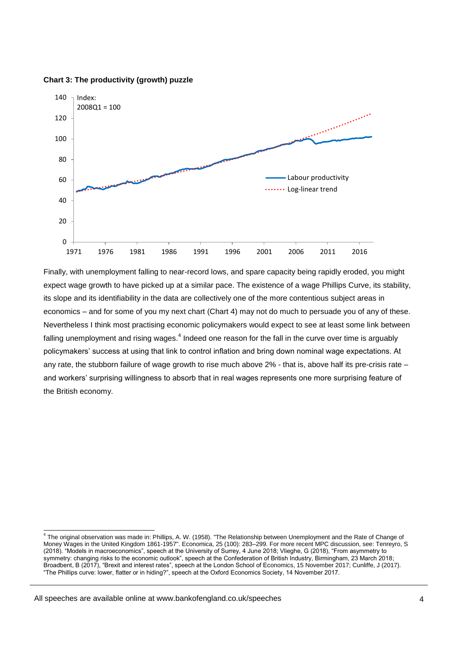

**Chart 3: The productivity (growth) puzzle**

Finally, with unemployment falling to near-record lows, and spare capacity being rapidly eroded, you might expect wage growth to have picked up at a similar pace. The existence of a wage Phillips Curve, its stability, its slope and its identifiability in the data are collectively one of the more contentious subject areas in economics – and for some of you my next chart (Chart 4) may not do much to persuade you of any of these. Nevertheless I think most practising economic policymakers would expect to see at least some link between falling unemployment and rising wages. $^4$  Indeed one reason for the fall in the curve over time is arguably policymakers' success at using that link to control inflation and bring down nominal wage expectations. At any rate, the stubborn failure of wage growth to rise much above 2% - that is, above half its pre-crisis rate – and workers' surprising willingness to absorb that in real wages represents one more surprising feature of the British economy.

 4 The original observation was made in: Phillips, A. W. (1958). "The Relationship between Unemployment and the Rate of Change of Money Wages in the United Kingdom 1861-1957". Economica, 25 (100): 283–299. For more recent MPC discussion, see: Tenreyro, S (2018). "Models in macroeconomics", speech at the University of Surrey, 4 June 2018; Vlieghe, G (2018), "From asymmetry to symmetry: changing risks to the economic outlook", speech at the Confederation of British Industry, Birmingham, 23 March 2018; Broadbent, B (2017), "Brexit and interest rates", speech at the London School of Economics, 15 November 2017; Cunliffe, J (2017). "The Phillips curve: lower, flatter or in hiding?", speech at the Oxford Economics Society, 14 November 2017.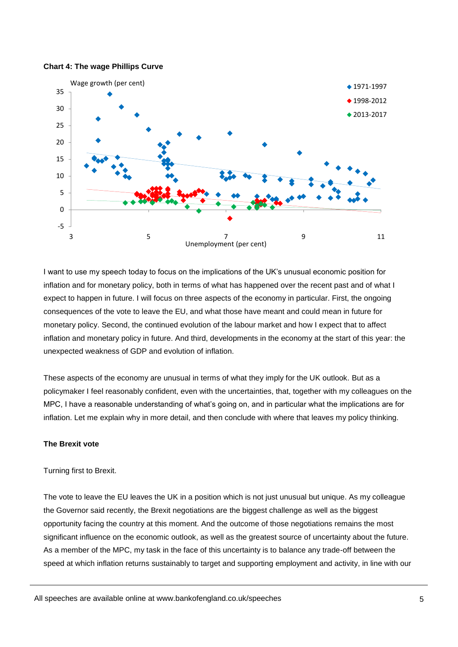

#### **Chart 4: The wage Phillips Curve**

I want to use my speech today to focus on the implications of the UK's unusual economic position for inflation and for monetary policy, both in terms of what has happened over the recent past and of what I expect to happen in future. I will focus on three aspects of the economy in particular. First, the ongoing consequences of the vote to leave the EU, and what those have meant and could mean in future for monetary policy. Second, the continued evolution of the labour market and how I expect that to affect inflation and monetary policy in future. And third, developments in the economy at the start of this year: the unexpected weakness of GDP and evolution of inflation.

These aspects of the economy are unusual in terms of what they imply for the UK outlook. But as a policymaker I feel reasonably confident, even with the uncertainties, that, together with my colleagues on the MPC, I have a reasonable understanding of what's going on, and in particular what the implications are for inflation. Let me explain why in more detail, and then conclude with where that leaves my policy thinking.

# **The Brexit vote**

## Turning first to Brexit.

The vote to leave the EU leaves the UK in a position which is not just unusual but unique. As my colleague the Governor said recently, the Brexit negotiations are the biggest challenge as well as the biggest opportunity facing the country at this moment. And the outcome of those negotiations remains the most significant influence on the economic outlook, as well as the greatest source of uncertainty about the future. As a member of the MPC, my task in the face of this uncertainty is to balance any trade-off between the speed at which inflation returns sustainably to target and supporting employment and activity, in line with our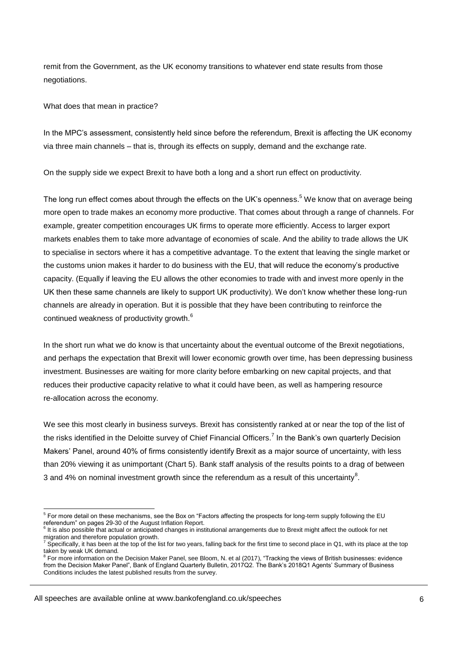remit from the Government, as the UK economy transitions to whatever end state results from those negotiations.

What does that mean in practice?

In the MPC's assessment, consistently held since before the referendum, Brexit is affecting the UK economy via three main channels – that is, through its effects on supply, demand and the exchange rate.

On the supply side we expect Brexit to have both a long and a short run effect on productivity.

The long run effect comes about through the effects on the UK's openness.<sup>5</sup> We know that on average being more open to trade makes an economy more productive. That comes about through a range of channels. For example, greater competition encourages UK firms to operate more efficiently. Access to larger export markets enables them to take more advantage of economies of scale. And the ability to trade allows the UK to specialise in sectors where it has a competitive advantage. To the extent that leaving the single market or the customs union makes it harder to do business with the EU, that will reduce the economy's productive capacity. (Equally if leaving the EU allows the other economies to trade with and invest more openly in the UK then these same channels are likely to support UK productivity). We don't know whether these long-run channels are already in operation. But it is possible that they have been contributing to reinforce the continued weakness of productivity growth.<sup>6</sup>

In the short run what we do know is that uncertainty about the eventual outcome of the Brexit negotiations, and perhaps the expectation that Brexit will lower economic growth over time, has been depressing business investment. Businesses are waiting for more clarity before embarking on new capital projects, and that reduces their productive capacity relative to what it could have been, as well as hampering resource re-allocation across the economy.

We see this most clearly in business surveys. Brexit has consistently ranked at or near the top of the list of the risks identified in the Deloitte survey of Chief Financial Officers.<sup>7</sup> In the Bank's own quarterly Decision Makers' Panel, around 40% of firms consistently identify Brexit as a major source of uncertainty, with less than 20% viewing it as unimportant (Chart 5). Bank staff analysis of the results points to a drag of between 3 and 4% on nominal investment growth since the referendum as a result of this uncertainty<sup>8</sup>.

<sup>-</sup><sup>5</sup> For more detail on these mechanisms, see the Box on "Factors affecting the prospects for long-term supply following the EU referendum" on pages 29-30 of the August Inflation Report.<br><sup>6</sup> It is also pessible that actual ar apticipated abanges in ins

It is also possible that actual or anticipated changes in institutional arrangements due to Brexit might affect the outlook for net migration and therefore population growth.

 $^7$  Specifically, it has been at the top of the list for two years, falling back for the first time to second place in Q1, with its place at the top taken by weak UK demand.

<sup>8</sup> For more information on the Decision Maker Panel, see Bloom, N. et al (2017), "Tracking the views of British businesses: evidence from the Decision Maker Panel", Bank of England Quarterly Bulletin, 2017Q2. The Bank's 2018Q1 Agents' Summary of Business Conditions includes the latest published results from the survey.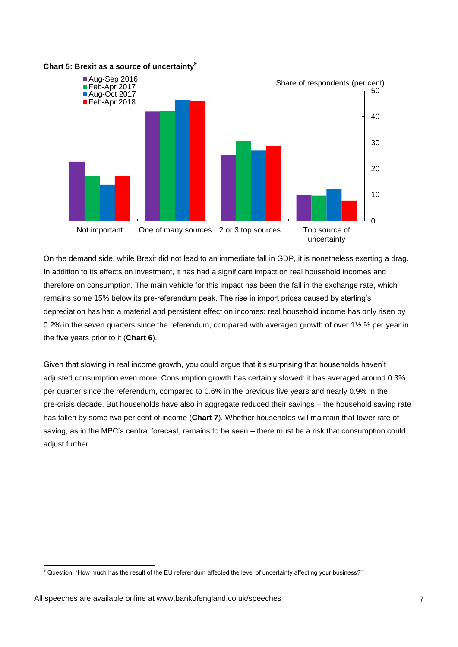

## **Chart 5: Brexit as a source of uncertainty<sup>9</sup>**

On the demand side, while Brexit did not lead to an immediate fall in GDP, it is nonetheless exerting a drag. In addition to its effects on investment, it has had a significant impact on real household incomes and therefore on consumption. The main vehicle for this impact has been the fall in the exchange rate, which remains some 15% below its pre-referendum peak. The rise in import prices caused by sterling's depreciation has had a material and persistent effect on incomes: real household income has only risen by 0.2% in the seven quarters since the referendum, compared with averaged growth of over 1½ % per year in the five years prior to it (**Chart 6**).

Given that slowing in real income growth, you could argue that it's surprising that households haven't adjusted consumption even more. Consumption growth has certainly slowed: it has averaged around 0.3% per quarter since the referendum, compared to 0.6% in the previous five years and nearly 0.9% in the pre-crisis decade. But households have also in aggregate reduced their savings – the household saving rate has fallen by some two per cent of income (**Chart 7**). Whether households will maintain that lower rate of saving, as in the MPC's central forecast, remains to be seen – there must be a risk that consumption could adjust further.

<sup>-</sup> $9$  Question: "How much has the result of the EU referendum affected the level of uncertainty affecting your business?"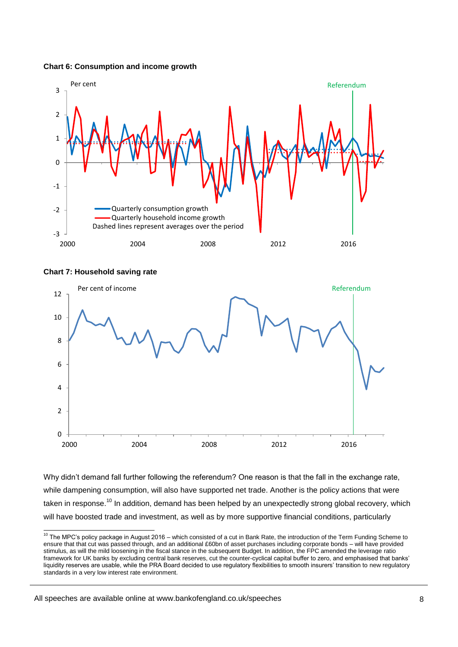



# **Chart 7: Household saving rate**

-



Why didn't demand fall further following the referendum? One reason is that the fall in the exchange rate, while dampening consumption, will also have supported net trade. Another is the policy actions that were taken in response.<sup>10</sup> In addition, demand has been helped by an unexpectedly strong global recovery, which will have boosted trade and investment, as well as by more supportive financial conditions, particularly

 $10$  The MPC's policy package in August 2016 – which consisted of a cut in Bank Rate, the introduction of the Term Funding Scheme to ensure that that cut was passed through, and an additional £60bn of asset purchases including corporate bonds – will have provided stimulus, as will the mild loosening in the fiscal stance in the subsequent Budget. In addition, the FPC amended the leverage ratio framework for UK banks by excluding central bank reserves, cut the counter-cyclical capital buffer to zero, and emphasised that banks' liquidity reserves are usable, while the PRA Board decided to use regulatory flexibilities to smooth insurers' transition to new regulatory standards in a very low interest rate environment.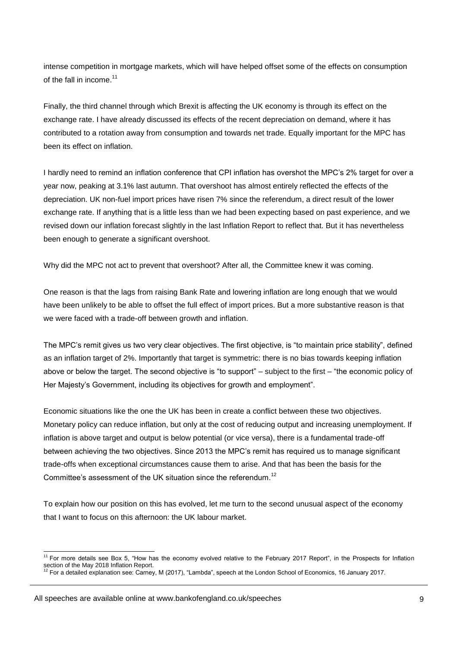intense competition in mortgage markets, which will have helped offset some of the effects on consumption of the fall in income.<sup>11</sup>

Finally, the third channel through which Brexit is affecting the UK economy is through its effect on the exchange rate. I have already discussed its effects of the recent depreciation on demand, where it has contributed to a rotation away from consumption and towards net trade. Equally important for the MPC has been its effect on inflation.

I hardly need to remind an inflation conference that CPI inflation has overshot the MPC's 2% target for over a year now, peaking at 3.1% last autumn. That overshoot has almost entirely reflected the effects of the depreciation. UK non-fuel import prices have risen 7% since the referendum, a direct result of the lower exchange rate. If anything that is a little less than we had been expecting based on past experience, and we revised down our inflation forecast slightly in the last Inflation Report to reflect that. But it has nevertheless been enough to generate a significant overshoot.

Why did the MPC not act to prevent that overshoot? After all, the Committee knew it was coming.

One reason is that the lags from raising Bank Rate and lowering inflation are long enough that we would have been unlikely to be able to offset the full effect of import prices. But a more substantive reason is that we were faced with a trade-off between growth and inflation.

The MPC's remit gives us two very clear objectives. The first objective, is "to maintain price stability", defined as an inflation target of 2%. Importantly that target is symmetric: there is no bias towards keeping inflation above or below the target. The second objective is "to support" – subject to the first – "the economic policy of Her Majesty's Government, including its objectives for growth and employment".

Economic situations like the one the UK has been in create a conflict between these two objectives. Monetary policy can reduce inflation, but only at the cost of reducing output and increasing unemployment. If inflation is above target and output is below potential (or vice versa), there is a fundamental trade-off between achieving the two objectives. Since 2013 the MPC's remit has required us to manage significant trade-offs when exceptional circumstances cause them to arise. And that has been the basis for the Committee's assessment of the UK situation since the referendum.<sup>12</sup>

To explain how our position on this has evolved, let me turn to the second unusual aspect of the economy that I want to focus on this afternoon: the UK labour market.

<sup>&</sup>lt;sup>11</sup> For more details see Box 5, "How has the economy evolved relative to the February 2017 Report", in the Prospects for Inflation section of the May 2018 Inflation Report.<br><sup>12</sup> For a detailed explanation see: Carney, M (2017), "Lambda", speech at the London School of Economics, 16 January 2017.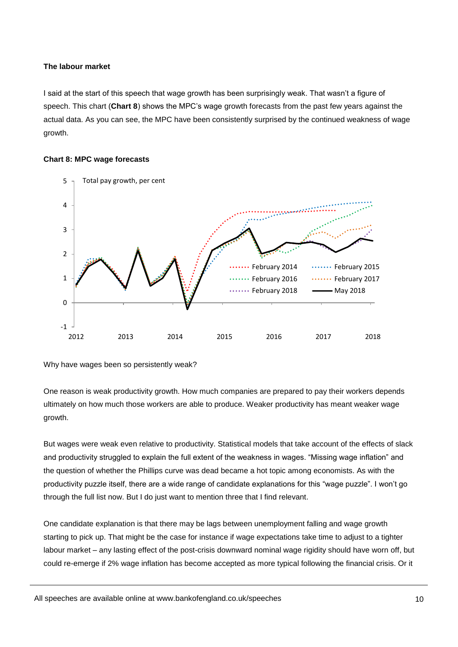## **The labour market**

I said at the start of this speech that wage growth has been surprisingly weak. That wasn't a figure of speech. This chart (**Chart 8**) shows the MPC's wage growth forecasts from the past few years against the actual data. As you can see, the MPC have been consistently surprised by the continued weakness of wage growth.

## **Chart 8: MPC wage forecasts**



Why have wages been so persistently weak?

One reason is weak productivity growth. How much companies are prepared to pay their workers depends ultimately on how much those workers are able to produce. Weaker productivity has meant weaker wage growth.

But wages were weak even relative to productivity. Statistical models that take account of the effects of slack and productivity struggled to explain the full extent of the weakness in wages. "Missing wage inflation" and the question of whether the Phillips curve was dead became a hot topic among economists. As with the productivity puzzle itself, there are a wide range of candidate explanations for this "wage puzzle". I won't go through the full list now. But I do just want to mention three that I find relevant.

One candidate explanation is that there may be lags between unemployment falling and wage growth starting to pick up. That might be the case for instance if wage expectations take time to adjust to a tighter labour market – any lasting effect of the post-crisis downward nominal wage rigidity should have worn off, but could re-emerge if 2% wage inflation has become accepted as more typical following the financial crisis. Or it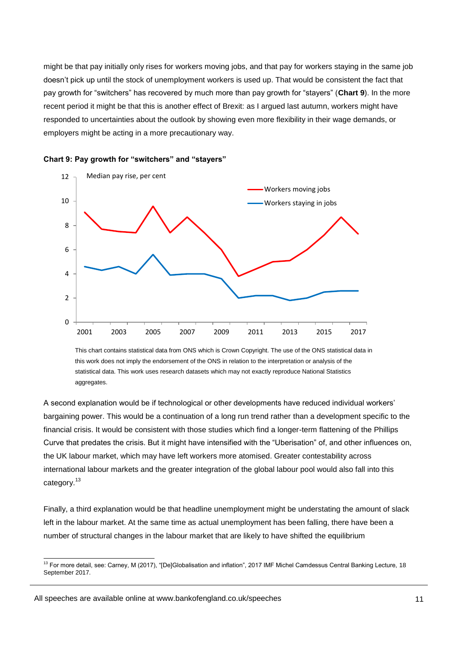might be that pay initially only rises for workers moving jobs, and that pay for workers staying in the same job doesn't pick up until the stock of unemployment workers is used up. That would be consistent the fact that pay growth for "switchers" has recovered by much more than pay growth for "stayers" (**Chart 9**). In the more recent period it might be that this is another effect of Brexit: as I argued last autumn, workers might have responded to uncertainties about the outlook by showing even more flexibility in their wage demands, or employers might be acting in a more precautionary way.



#### **Chart 9: Pay growth for "switchers" and "stayers"**

This chart contains statistical data from ONS which is Crown Copyright. The use of the ONS statistical data in this work does not imply the endorsement of the ONS in relation to the interpretation or analysis of the statistical data. This work uses research datasets which may not exactly reproduce National Statistics aggregates.

A second explanation would be if technological or other developments have reduced individual workers' bargaining power. This would be a continuation of a long run trend rather than a development specific to the financial crisis. It would be consistent with those studies which find a longer-term flattening of the Phillips Curve that predates the crisis. But it might have intensified with the "Uberisation" of, and other influences on, the UK labour market, which may have left workers more atomised. Greater contestability across international labour markets and the greater integration of the global labour pool would also fall into this category.<sup>13</sup>

Finally, a third explanation would be that headline unemployment might be understating the amount of slack left in the labour market. At the same time as actual unemployment has been falling, there have been a number of structural changes in the labour market that are likely to have shifted the equilibrium

<sup>&</sup>lt;sup>13</sup> For more detail, see: Carney, M (2017), "[De]Globalisation and inflation", 2017 IMF Michel Camdessus Central Banking Lecture, 18 September 2017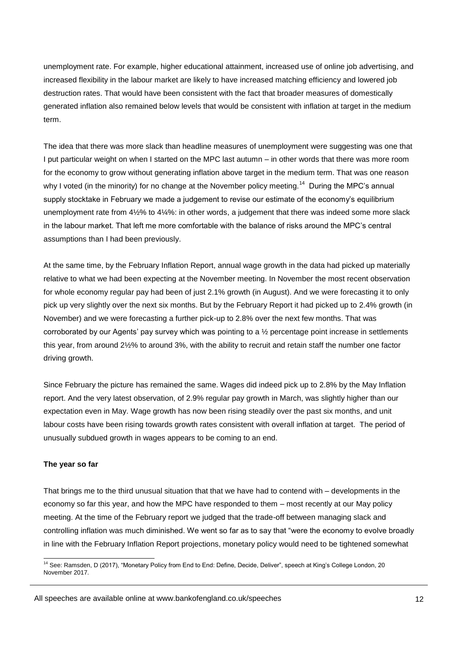unemployment rate. For example, higher educational attainment, increased use of online job advertising, and increased flexibility in the labour market are likely to have increased matching efficiency and lowered job destruction rates. That would have been consistent with the fact that broader measures of domestically generated inflation also remained below levels that would be consistent with inflation at target in the medium term.

The idea that there was more slack than headline measures of unemployment were suggesting was one that I put particular weight on when I started on the MPC last autumn – in other words that there was more room for the economy to grow without generating inflation above target in the medium term. That was one reason why I voted (in the minority) for no change at the November policy meeting.<sup>14</sup> During the MPC's annual supply stocktake in February we made a judgement to revise our estimate of the economy's equilibrium unemployment rate from 4½% to 4¼%: in other words, a judgement that there was indeed some more slack in the labour market. That left me more comfortable with the balance of risks around the MPC's central assumptions than I had been previously.

At the same time, by the February Inflation Report, annual wage growth in the data had picked up materially relative to what we had been expecting at the November meeting. In November the most recent observation for whole economy regular pay had been of just 2.1% growth (in August). And we were forecasting it to only pick up very slightly over the next six months. But by the February Report it had picked up to 2.4% growth (in November) and we were forecasting a further pick-up to 2.8% over the next few months. That was corroborated by our Agents' pay survey which was pointing to a  $\frac{1}{2}$  percentage point increase in settlements this year, from around 2½% to around 3%, with the ability to recruit and retain staff the number one factor driving growth.

Since February the picture has remained the same. Wages did indeed pick up to 2.8% by the May Inflation report. And the very latest observation, of 2.9% regular pay growth in March, was slightly higher than our expectation even in May. Wage growth has now been rising steadily over the past six months, and unit labour costs have been rising towards growth rates consistent with overall inflation at target. The period of unusually subdued growth in wages appears to be coming to an end.

## **The year so far**

-

That brings me to the third unusual situation that that we have had to contend with – developments in the economy so far this year, and how the MPC have responded to them – most recently at our May policy meeting. At the time of the February report we judged that the trade-off between managing slack and controlling inflation was much diminished. We went so far as to say that "were the economy to evolve broadly in line with the February Inflation Report projections, monetary policy would need to be tightened somewhat

All speeches are available online at www.bankofengland.co.uk/speeches

<sup>&</sup>lt;sup>14</sup> See: Ramsden, D (2017), "Monetary Policy from End to End: Define, Decide, Deliver", speech at King's College London, 20 November 2017.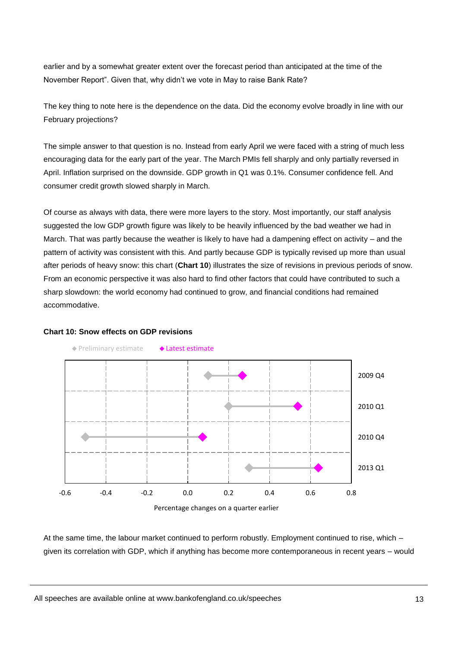earlier and by a somewhat greater extent over the forecast period than anticipated at the time of the November Report". Given that, why didn't we vote in May to raise Bank Rate?

The key thing to note here is the dependence on the data. Did the economy evolve broadly in line with our February projections?

The simple answer to that question is no. Instead from early April we were faced with a string of much less encouraging data for the early part of the year. The March PMIs fell sharply and only partially reversed in April. Inflation surprised on the downside. GDP growth in Q1 was 0.1%. Consumer confidence fell. And consumer credit growth slowed sharply in March.

Of course as always with data, there were more layers to the story. Most importantly, our staff analysis suggested the low GDP growth figure was likely to be heavily influenced by the bad weather we had in March. That was partly because the weather is likely to have had a dampening effect on activity – and the pattern of activity was consistent with this. And partly because GDP is typically revised up more than usual after periods of heavy snow: this chart (**Chart 10**) illustrates the size of revisions in previous periods of snow. From an economic perspective it was also hard to find other factors that could have contributed to such a sharp slowdown: the world economy had continued to grow, and financial conditions had remained accommodative.

## **Chart 10: Snow effects on GDP revisions**



At the same time, the labour market continued to perform robustly. Employment continued to rise, which – given its correlation with GDP, which if anything has become more contemporaneous in recent years – would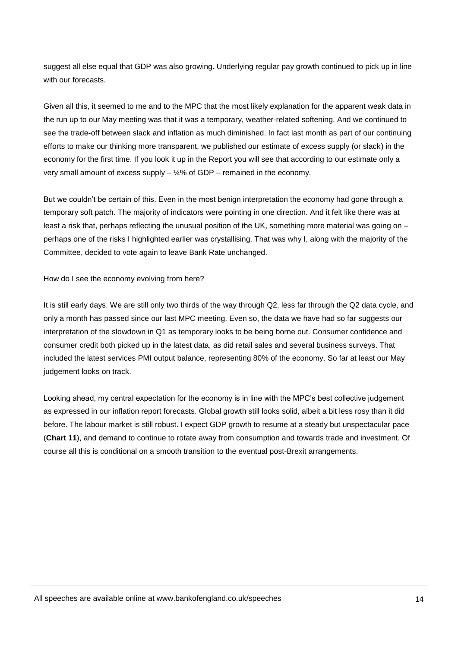suggest all else equal that GDP was also growing. Underlying regular pay growth continued to pick up in line with our forecasts.

Given all this, it seemed to me and to the MPC that the most likely explanation for the apparent weak data in the run up to our May meeting was that it was a temporary, weather-related softening. And we continued to see the trade-off between slack and inflation as much diminished. In fact last month as part of our continuing efforts to make our thinking more transparent, we published our estimate of excess supply (or slack) in the economy for the first time. If you look it up in the Report you will see that according to our estimate only a very small amount of excess supply  $-$  ¼% of GDP – remained in the economy.

But we couldn't be certain of this. Even in the most benign interpretation the economy had gone through a temporary soft patch. The majority of indicators were pointing in one direction. And it felt like there was at least a risk that, perhaps reflecting the unusual position of the UK, something more material was going on – perhaps one of the risks I highlighted earlier was crystallising. That was why I, along with the majority of the Committee, decided to vote again to leave Bank Rate unchanged.

How do I see the economy evolving from here?

It is still early days. We are still only two thirds of the way through Q2, less far through the Q2 data cycle, and only a month has passed since our last MPC meeting. Even so, the data we have had so far suggests our interpretation of the slowdown in Q1 as temporary looks to be being borne out. Consumer confidence and consumer credit both picked up in the latest data, as did retail sales and several business surveys. That included the latest services PMI output balance, representing 80% of the economy. So far at least our May judgement looks on track.

Looking ahead, my central expectation for the economy is in line with the MPC's best collective judgement as expressed in our inflation report forecasts. Global growth still looks solid, albeit a bit less rosy than it did before. The labour market is still robust. I expect GDP growth to resume at a steady but unspectacular pace (**Chart 11**), and demand to continue to rotate away from consumption and towards trade and investment. Of course all this is conditional on a smooth transition to the eventual post-Brexit arrangements.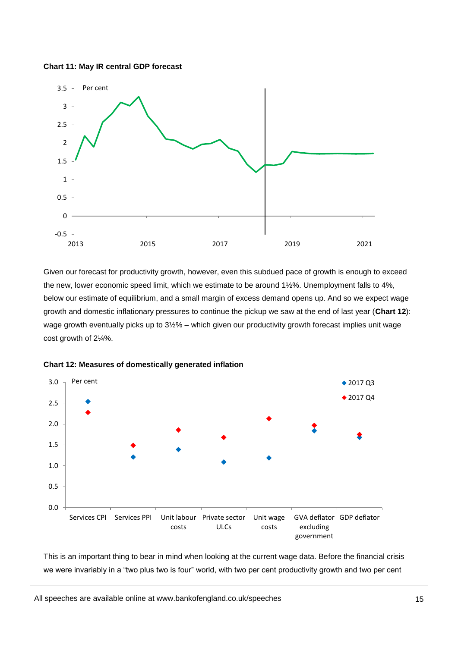



Given our forecast for productivity growth, however, even this subdued pace of growth is enough to exceed the new, lower economic speed limit, which we estimate to be around 1½%. Unemployment falls to 4%, below our estimate of equilibrium, and a small margin of excess demand opens up. And so we expect wage growth and domestic inflationary pressures to continue the pickup we saw at the end of last year (**Chart 12**): wage growth eventually picks up to 3½% – which given our productivity growth forecast implies unit wage cost growth of 2¼%.



**Chart 12: Measures of domestically generated inflation**

This is an important thing to bear in mind when looking at the current wage data. Before the financial crisis we were invariably in a "two plus two is four" world, with two per cent productivity growth and two per cent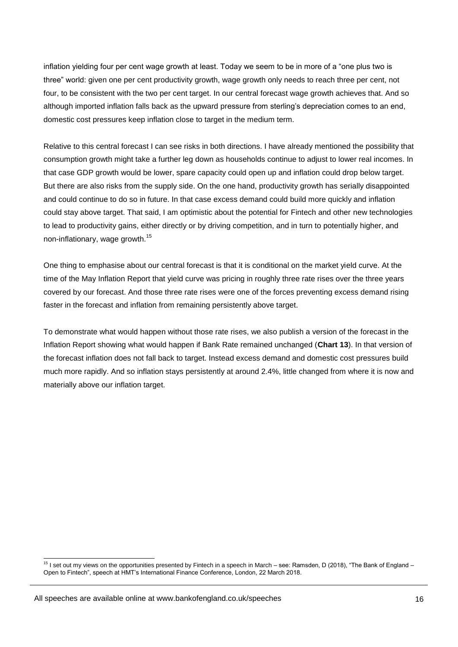inflation yielding four per cent wage growth at least. Today we seem to be in more of a "one plus two is three" world: given one per cent productivity growth, wage growth only needs to reach three per cent, not four, to be consistent with the two per cent target. In our central forecast wage growth achieves that. And so although imported inflation falls back as the upward pressure from sterling's depreciation comes to an end, domestic cost pressures keep inflation close to target in the medium term.

Relative to this central forecast I can see risks in both directions. I have already mentioned the possibility that consumption growth might take a further leg down as households continue to adjust to lower real incomes. In that case GDP growth would be lower, spare capacity could open up and inflation could drop below target. But there are also risks from the supply side. On the one hand, productivity growth has serially disappointed and could continue to do so in future. In that case excess demand could build more quickly and inflation could stay above target. That said, I am optimistic about the potential for Fintech and other new technologies to lead to productivity gains, either directly or by driving competition, and in turn to potentially higher, and non-inflationary, wage growth.<sup>15</sup>

One thing to emphasise about our central forecast is that it is conditional on the market yield curve. At the time of the May Inflation Report that yield curve was pricing in roughly three rate rises over the three years covered by our forecast. And those three rate rises were one of the forces preventing excess demand rising faster in the forecast and inflation from remaining persistently above target.

To demonstrate what would happen without those rate rises, we also publish a version of the forecast in the Inflation Report showing what would happen if Bank Rate remained unchanged (**Chart 13**). In that version of the forecast inflation does not fall back to target. Instead excess demand and domestic cost pressures build much more rapidly. And so inflation stays persistently at around 2.4%, little changed from where it is now and materially above our inflation target.

<sup>-</sup><sup>15</sup> I set out my views on the opportunities presented by Fintech in a speech in March – see: Ramsden, D (2018), "The Bank of England – Open to Fintech", speech at HMT's International Finance Conference, London, 22 March 2018.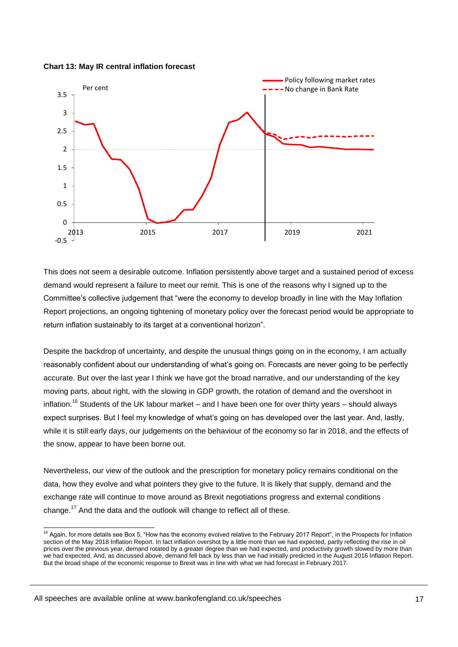



This does not seem a desirable outcome. Inflation persistently above target and a sustained period of excess demand would represent a failure to meet our remit. This is one of the reasons why I signed up to the Committee's collective judgement that "were the economy to develop broadly in line with the May Inflation Report projections, an ongoing tightening of monetary policy over the forecast period would be appropriate to return inflation sustainably to its target at a conventional horizon".

Despite the backdrop of uncertainty, and despite the unusual things going on in the economy, I am actually reasonably confident about our understanding of what's going on. Forecasts are never going to be perfectly accurate. But over the last year I think we have got the broad narrative, and our understanding of the key moving parts, about right, with the slowing in GDP growth, the rotation of demand and the overshoot in inflation.<sup>16</sup> Students of the UK labour market – and I have been one for over thirty years – should always expect surprises. But I feel my knowledge of what's going on has developed over the last year. And, lastly, while it is still early days, our judgements on the behaviour of the economy so far in 2018, and the effects of the snow, appear to have been borne out.

Nevertheless, our view of the outlook and the prescription for monetary policy remains conditional on the data, how they evolve and what pointers they give to the future. It is likely that supply, demand and the exchange rate will continue to move around as Brexit negotiations progress and external conditions change.<sup>17</sup> And the data and the outlook will change to reflect all of these.

<sup>-</sup><sup>16</sup> Again, for more details see Box 5, "How has the economy evolved relative to the February 2017 Report", in the Prospects for Inflation section of the May 2018 Inflation Report. In fact inflation overshot by a little more than we had expected, partly reflecting the rise in oil prices over the previous year, demand rotated by a greater degree than we had expected, and productivity growth slowed by more than we had expected. And, as discussed above, demand fell back by less than we had initially predicted in the August 2016 Inflation Report. But the broad shape of the economic response to Brexit was in line with what we had forecast in February 2017.